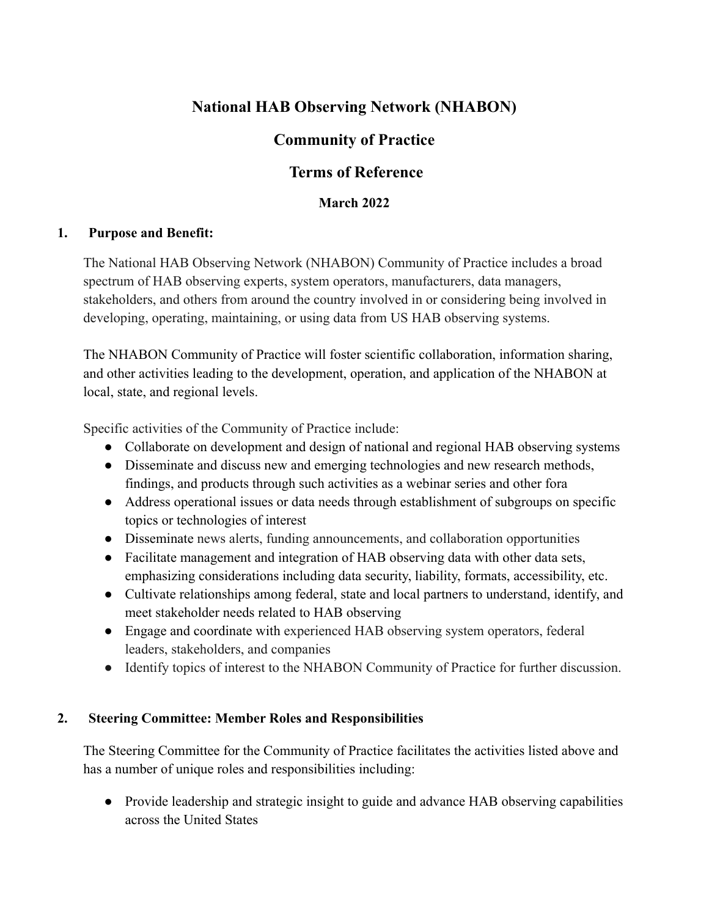# **National HAB Observing Network (NHABON)**

## **Community of Practice**

## **Terms of Reference**

### **March 2022**

#### **1. Purpose and Benefit:**

The National HAB Observing Network (NHABON) Community of Practice includes a broad spectrum of HAB observing experts, system operators, manufacturers, data managers, stakeholders, and others from around the country involved in or considering being involved in developing, operating, maintaining, or using data from US HAB observing systems.

The NHABON Community of Practice will foster scientific collaboration, information sharing, and other activities leading to the development, operation, and application of the NHABON at local, state, and regional levels.

Specific activities of the Community of Practice include:

- Collaborate on development and design of national and regional HAB observing systems
- Disseminate and discuss new and emerging technologies and new research methods, findings, and products through such activities as a webinar series and other fora
- Address operational issues or data needs through establishment of subgroups on specific topics or technologies of interest
- Disseminate news alerts, funding announcements, and collaboration opportunities
- Facilitate management and integration of HAB observing data with other data sets, emphasizing considerations including data security, liability, formats, accessibility, etc.
- Cultivate relationships among federal, state and local partners to understand, identify, and meet stakeholder needs related to HAB observing
- Engage and coordinate with experienced HAB observing system operators, federal leaders, stakeholders, and companies
- Identify topics of interest to the NHABON Community of Practice for further discussion.

#### **2. Steering Committee: Member Roles and Responsibilities**

The Steering Committee for the Community of Practice facilitates the activities listed above and has a number of unique roles and responsibilities including:

● Provide leadership and strategic insight to guide and advance HAB observing capabilities across the United States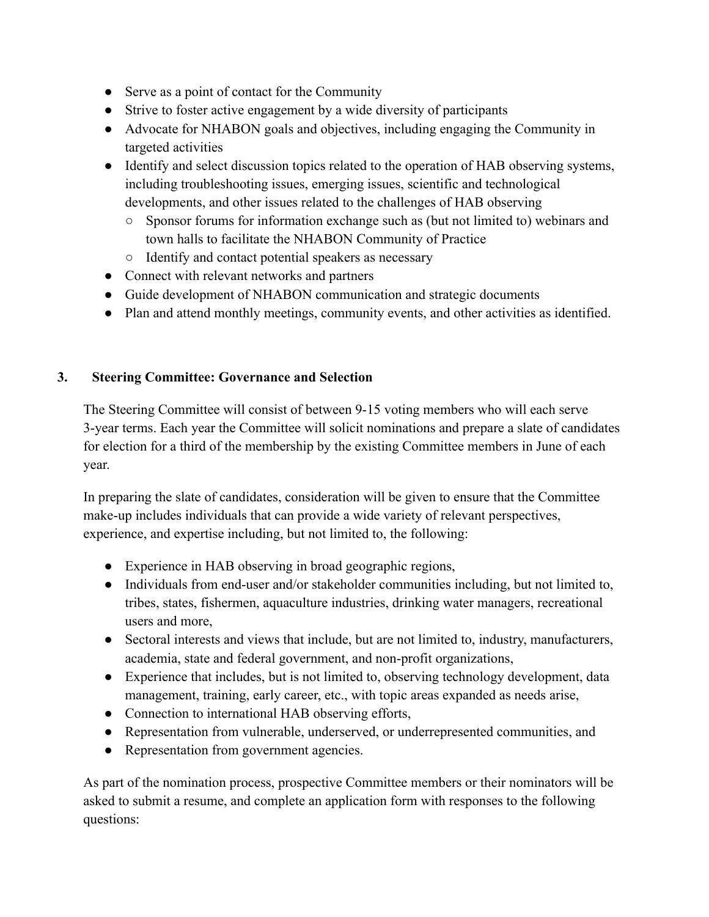- Serve as a point of contact for the Community
- Strive to foster active engagement by a wide diversity of participants
- Advocate for NHABON goals and objectives, including engaging the Community in targeted activities
- Identify and select discussion topics related to the operation of HAB observing systems, including troubleshooting issues, emerging issues, scientific and technological developments, and other issues related to the challenges of HAB observing
	- Sponsor forums for information exchange such as (but not limited to) webinars and town halls to facilitate the NHABON Community of Practice
	- Identify and contact potential speakers as necessary
- Connect with relevant networks and partners
- Guide development of NHABON communication and strategic documents
- Plan and attend monthly meetings, community events, and other activities as identified.

#### **3. Steering Committee: Governance and Selection**

The Steering Committee will consist of between 9-15 voting members who will each serve 3-year terms. Each year the Committee will solicit nominations and prepare a slate of candidates for election for a third of the membership by the existing Committee members in June of each year.

In preparing the slate of candidates, consideration will be given to ensure that the Committee make-up includes individuals that can provide a wide variety of relevant perspectives, experience, and expertise including, but not limited to, the following:

- Experience in HAB observing in broad geographic regions,
- Individuals from end-user and/or stakeholder communities including, but not limited to, tribes, states, fishermen, aquaculture industries, drinking water managers, recreational users and more,
- Sectoral interests and views that include, but are not limited to, industry, manufacturers, academia, state and federal government, and non-profit organizations,
- Experience that includes, but is not limited to, observing technology development, data management, training, early career, etc., with topic areas expanded as needs arise,
- Connection to international HAB observing efforts,
- Representation from vulnerable, underserved, or underrepresented communities, and
- Representation from government agencies.

As part of the nomination process, prospective Committee members or their nominators will be asked to submit a resume, and complete an application form with responses to the following questions: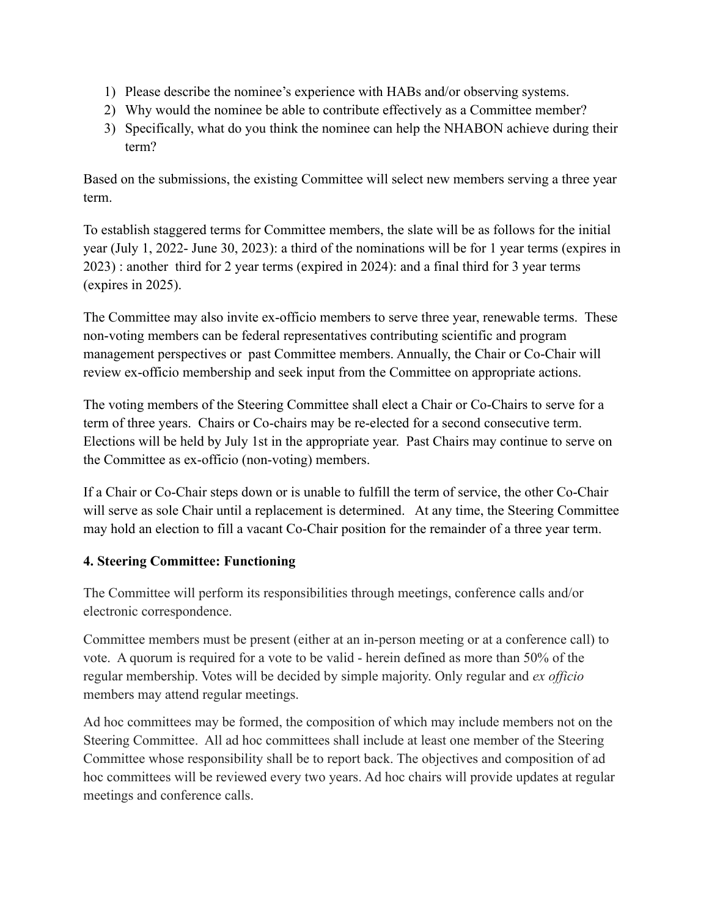- 1) Please describe the nominee's experience with HABs and/or observing systems.
- 2) Why would the nominee be able to contribute effectively as a Committee member?
- 3) Specifically, what do you think the nominee can help the NHABON achieve during their term?

Based on the submissions, the existing Committee will select new members serving a three year term.

To establish staggered terms for Committee members, the slate will be as follows for the initial year (July 1, 2022- June 30, 2023): a third of the nominations will be for 1 year terms (expires in 2023) : another third for 2 year terms (expired in 2024): and a final third for 3 year terms (expires in 2025).

The Committee may also invite ex-officio members to serve three year, renewable terms. These non-voting members can be federal representatives contributing scientific and program management perspectives or past Committee members. Annually, the Chair or Co-Chair will review ex-officio membership and seek input from the Committee on appropriate actions.

The voting members of the Steering Committee shall elect a Chair or Co-Chairs to serve for a term of three years. Chairs or Co-chairs may be re-elected for a second consecutive term. Elections will be held by July 1st in the appropriate year. Past Chairs may continue to serve on the Committee as ex-officio (non-voting) members.

If a Chair or Co-Chair steps down or is unable to fulfill the term of service, the other Co-Chair will serve as sole Chair until a replacement is determined. At any time, the Steering Committee may hold an election to fill a vacant Co-Chair position for the remainder of a three year term.

#### **4. Steering Committee: Functioning**

The Committee will perform its responsibilities through meetings, conference calls and/or electronic correspondence.

Committee members must be present (either at an in-person meeting or at a conference call) to vote. A quorum is required for a vote to be valid - herein defined as more than 50% of the regular membership. Votes will be decided by simple majority. Only regular and *ex officio* members may attend regular meetings.

Ad hoc committees may be formed, the composition of which may include members not on the Steering Committee. All ad hoc committees shall include at least one member of the Steering Committee whose responsibility shall be to report back. The objectives and composition of ad hoc committees will be reviewed every two years. Ad hoc chairs will provide updates at regular meetings and conference calls.